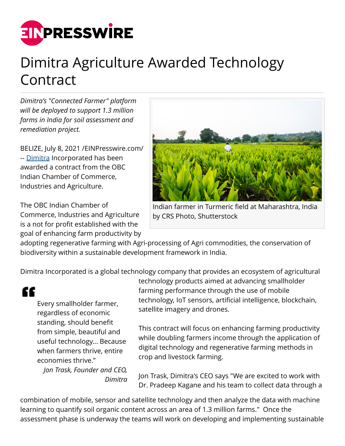

## Dimitra Agriculture Awarded Technology Contract

*Dimitra's "Connected Farmer" platform will be deployed to support 1.3 million farms in India for soil assessment and remediation project.*

BELIZE, July 8, 2021 [/EINPresswire.com](http://www.einpresswire.com)/ -- [Dimitra](https://www.Dimitra.io) Incorporated has been awarded a contract from the OBC Indian Chamber of Commerce, Industries and Agriculture.

The OBC Indian Chamber of Commerce, Industries and Agriculture is a not for profit established with the goal of enhancing farm productivity by



Indian farmer in Turmeric field at Maharashtra, India by CRS Photo, Shutterstock

adopting regenerative farming with Agri-processing of Agri commodities, the conservation of biodiversity within a sustainable development framework in India.

Dimitra Incorporated is a global technology company that provides an ecosystem of agricultural

££

Every smallholder farmer, regardless of economic standing, should benefit from simple, beautiful and useful technology... Because when farmers thrive, entire economies thrive."

*Jon Trask, Founder and CEO, Dimitra* technology products aimed at advancing smallholder farming performance through the use of mobile technology, IoT sensors, artificial intelligence, blockchain, satellite imagery and drones.

This contract will focus on enhancing farming productivity while doubling farmers income through the application of digital technology and regenerative farming methods in crop and livestock farming.

Jon Trask, Dimitra's CEO says "We are excited to work with Dr. Pradeep Kagane and his team to collect data through a

combination of mobile, sensor and satellite technology and then analyze the data with machine learning to quantify soil organic content across an area of 1.3 million farms." Once the assessment phase is underway the teams will work on developing and implementing sustainable